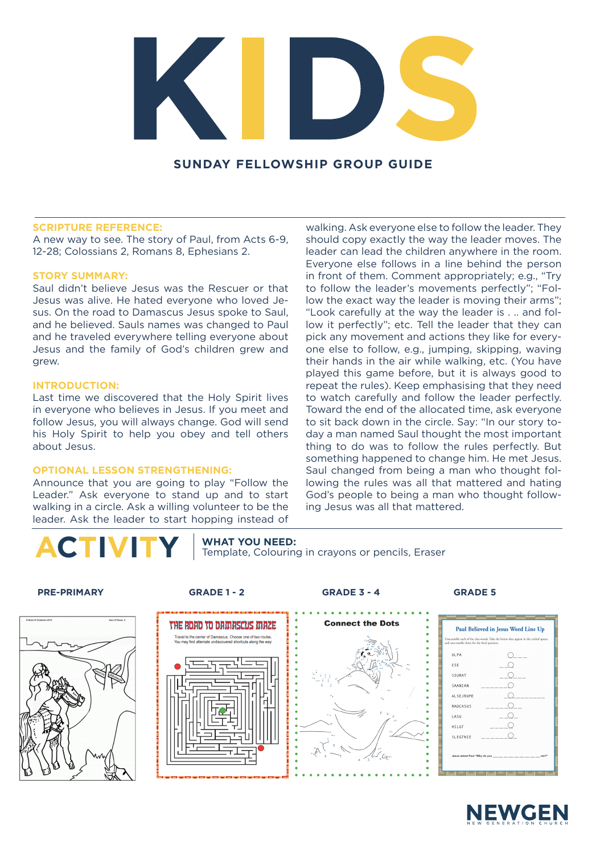

## **SUNDAY FELLOWSHIP GROUP GUIDE**

## **SCRIPTURE REFERENCE:**

A new way to see. The story of Paul, from Acts 6-9, 12-28; Colossians 2, Romans 8, Ephesians 2.

## **STORY SUMMARY:**

Saul didn't believe Jesus was the Rescuer or that Jesus was alive. He hated everyone who loved Jesus. On the road to Damascus Jesus spoke to Saul, and he believed. Sauls names was changed to Paul and he traveled everywhere telling everyone about Jesus and the family of God's children grew and grew.

## **INTRODUCTION:**

Last time we discovered that the Holy Spirit lives in everyone who believes in Jesus. If you meet and follow Jesus, you will always change. God will send his Holy Spirit to help you obey and tell others about Jesus.

## **OPTIONAL LESSON STRENGTHENING:**

Announce that you are going to play "Follow the Leader." Ask everyone to stand up and to start walking in a circle. Ask a willing volunteer to be the leader. Ask the leader to start hopping instead of

walking. Ask everyone else to follow the leader. They should copy exactly the way the leader moves. The leader can lead the children anywhere in the room. Everyone else follows in a line behind the person in front of them. Comment appropriately; e.g., "Try to follow the leader's movements perfectly"; "Follow the exact way the leader is moving their arms"; "Look carefully at the way the leader is . .. and follow it perfectly"; etc. Tell the leader that they can pick any movement and actions they like for everyone else to follow, e.g., jumping, skipping, waving their hands in the air while walking, etc. (You have played this game before, but it is always good to repeat the rules). Keep emphasising that they need to watch carefully and follow the leader perfectly. Toward the end of the allocated time, ask everyone to sit back down in the circle. Say: "In our story today a man named Saul thought the most important thing to do was to follow the rules perfectly. But something happened to change him. He met Jesus. Saul changed from being a man who thought following the rules was all that mattered and hating God's people to being a man who thought following Jesus was all that mattered.



**CTIVITY** | WHAT YOU NEED:<br>
Template, Colouring in crayons or pencils, Eraser

### **PRE-PRIMARY GRADE 1 - 2 GRADE 3 - 4 GRADE 5**





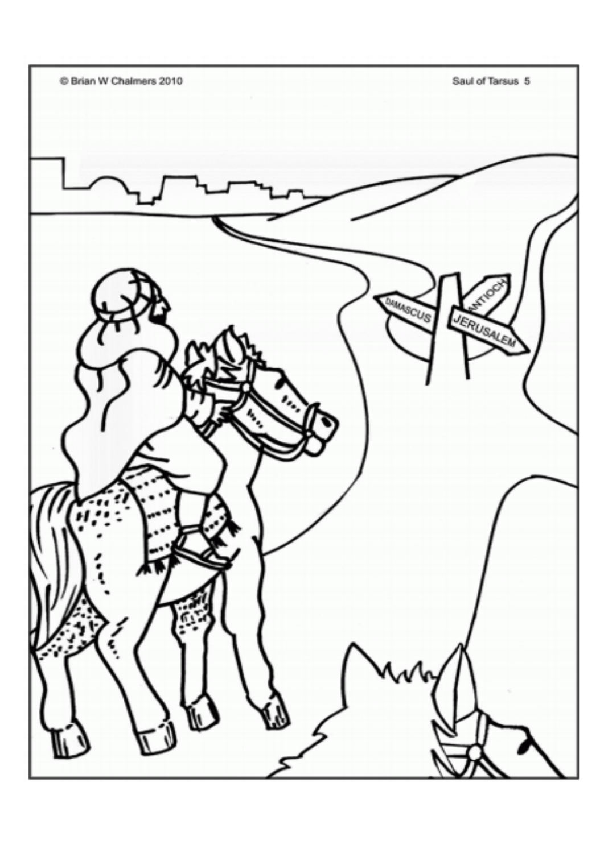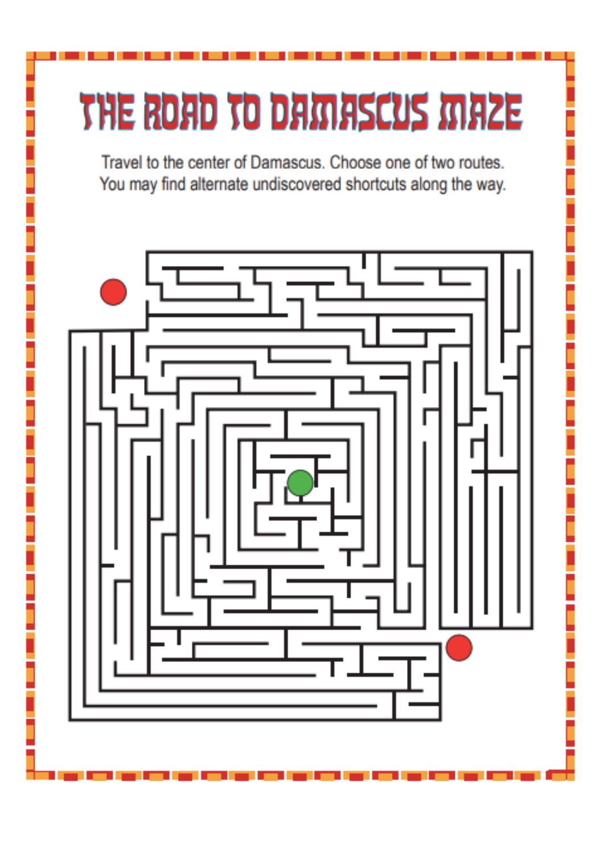# THE ROAD TO DAMASCUS MAZE

Travel to the center of Damascus. Choose one of two routes. You may find alternate undiscovered shortcuts along the way.

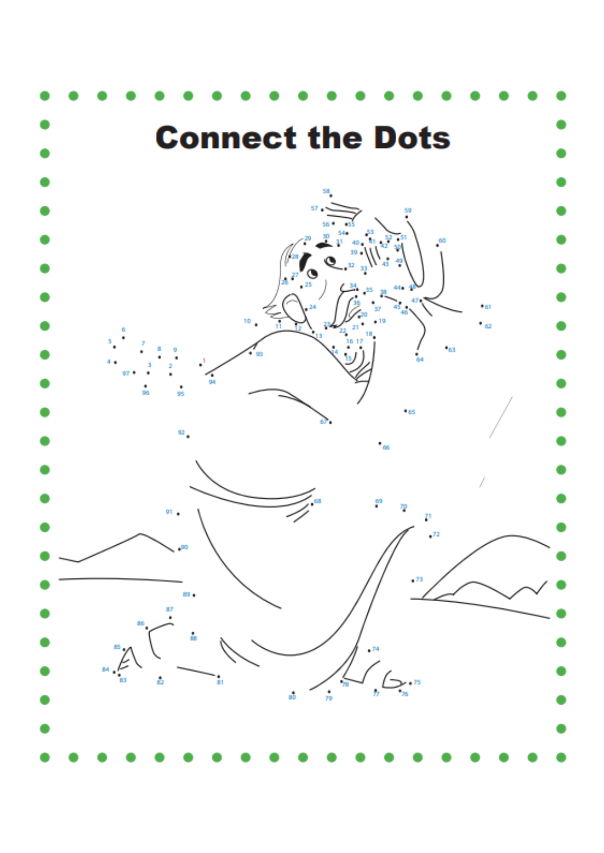